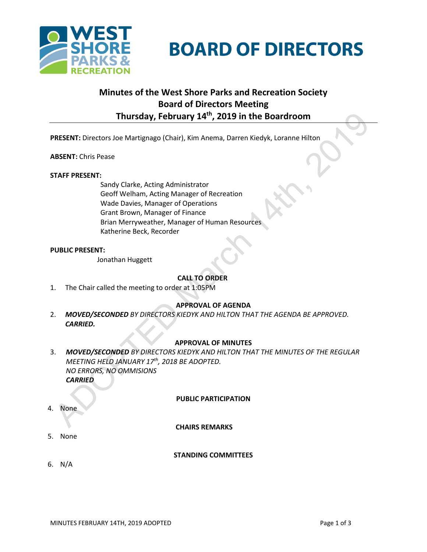



# **Minutes of the West Shore Parks and Recreation Society Board of Directors Meeting Thursday, February 14th, 2019 in the Boardroom**

**PRESENT:** Directors Joe Martignago (Chair), Kim Anema, Darren Kiedyk, Loranne Hilton

#### **ABSENT:** Chris Pease

#### **STAFF PRESENT:**

Sandy Clarke, Acting Administrator Geoff Welham, Acting Manager of Recreation Wade Davies, Manager of Operations Grant Brown, Manager of Finance Brian Merryweather, Manager of Human Resources Katherine Beck, Recorder

#### **PUBLIC PRESENT:**

Jonathan Huggett

# **CALL TO ORDER**

1. The Chair called the meeting to order at 1:05PM

# **APPROVAL OF AGENDA**

2. *MOVED/SECONDED BY DIRECTORS KIEDYK AND HILTON THAT THE AGENDA BE APPROVED. CARRIED.*

# **APPROVAL OF MINUTES**

3. *MOVED/SECONDED BY DIRECTORS KIEDYK AND HILTON THAT THE MINUTES OF THE REGULAR MEETING HELD JANUARY 17th, 2018 BE ADOPTED. NO ERRORS, NO OMMISIONS CARRIED*

#### **PUBLIC PARTICIPATION**

4. None

#### **CHAIRS REMARKS**

5. None

#### **STANDING COMMITTEES**

6. N/A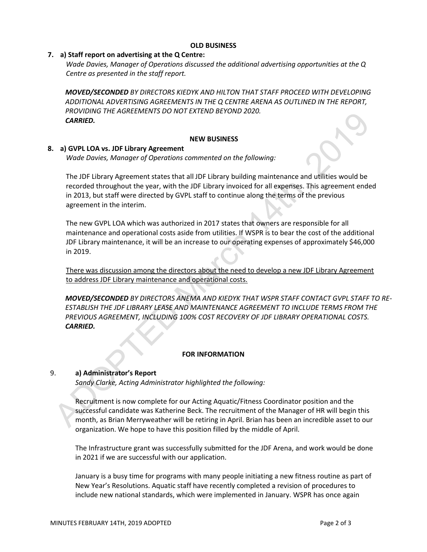#### **OLD BUSINESS**

## **7. a) Staff report on advertising at the Q Centre:**

*Wade Davies, Manager of Operations discussed the additional advertising opportunities at the Q Centre as presented in the staff report.*

*MOVED/SECONDED BY DIRECTORS KIEDYK AND HILTON THAT STAFF PROCEED WITH DEVELOPING ADDITIONAL ADVERTISING AGREEMENTS IN THE Q CENTRE ARENA AS OUTLINED IN THE REPORT, PROVIDING THE AGREEMENTS DO NOT EXTEND BEYOND 2020. CARRIED.*

## **NEW BUSINESS**

#### **8. a) GVPL LOA vs. JDF Library Agreement**

*Wade Davies, Manager of Operations commented on the following:*

The JDF Library Agreement states that all JDF Library building maintenance and utilities would be recorded throughout the year, with the JDF Library invoiced for all expenses. This agreement ended in 2013, but staff were directed by GVPL staff to continue along the terms of the previous agreement in the interim.

The new GVPL LOA which was authorized in 2017 states that owners are responsible for all maintenance and operational costs aside from utilities. If WSPR is to bear the cost of the additional JDF Library maintenance, it will be an increase to our operating expenses of approximately \$46,000 in 2019.

There was discussion among the directors about the need to develop a new JDF Library Agreement to address JDF Library maintenance and operational costs.

*MOVED/SECONDED BY DIRECTORS ANEMA AND KIEDYK THAT WSPR STAFF CONTACT GVPL STAFF TO RE-ESTABLISH THE JDF LIBRARY LEASE AND MAINTENANCE AGREEMENT TO INCLUDE TERMS FROM THE PREVIOUS AGREEMENT, INCLUDING 100% COST RECOVERY OF JDF LIBRARY OPERATIONAL COSTS. CARRIED.*

#### **FOR INFORMATION**

## 9. **a) Administrator's Report**

*Sandy Clarke, Acting Administrator highlighted the following:*

Recruitment is now complete for our Acting Aquatic/Fitness Coordinator position and the successful candidate was Katherine Beck. The recruitment of the Manager of HR will begin this month, as Brian Merryweather will be retiring in April. Brian has been an incredible asset to our organization. We hope to have this position filled by the middle of April.

The Infrastructure grant was successfully submitted for the JDF Arena, and work would be done in 2021 if we are successful with our application.

January is a busy time for programs with many people initiating a new fitness routine as part of New Year's Resolutions. Aquatic staff have recently completed a revision of procedures to include new national standards, which were implemented in January. WSPR has once again